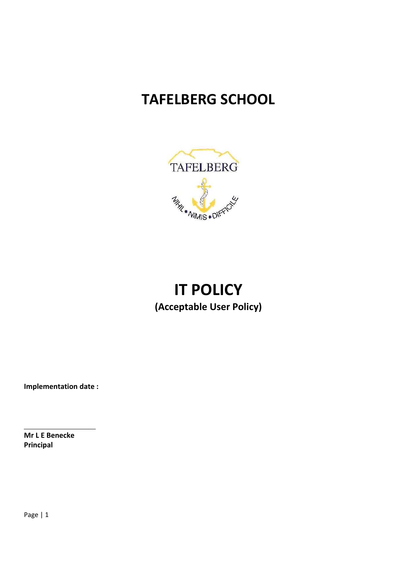# **TAFELBERG SCHOOL**



# **IT POLICY (Acceptable User Policy)**

**Implementation date :** 

**Mr L E Benecke Principal** 

Page | 1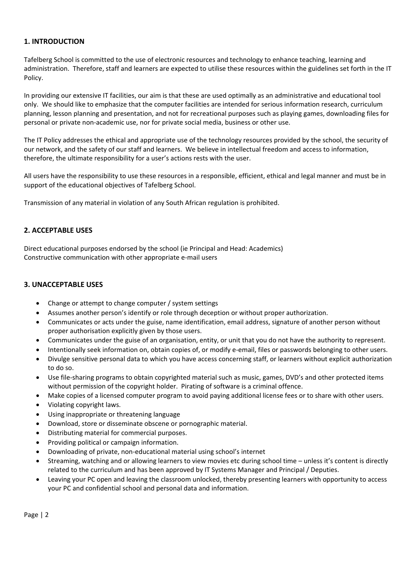### **1. INTRODUCTION**

Tafelberg School is committed to the use of electronic resources and technology to enhance teaching, learning and administration. Therefore, staff and learners are expected to utilise these resources within the guidelines set forth in the IT Policy.

In providing our extensive IT facilities, our aim is that these are used optimally as an administrative and educational tool only. We should like to emphasize that the computer facilities are intended for serious information research, curriculum planning, lesson planning and presentation, and not for recreational purposes such as playing games, downloading files for personal or private non‐academic use, nor for private social media, business or other use.

The IT Policy addresses the ethical and appropriate use of the technology resources provided by the school, the security of our network, and the safety of our staff and learners. We believe in intellectual freedom and access to information, therefore, the ultimate responsibility for a user's actions rests with the user.

All users have the responsibility to use these resources in a responsible, efficient, ethical and legal manner and must be in support of the educational objectives of Tafelberg School.

Transmission of any material in violation of any South African regulation is prohibited.

# **2. ACCEPTABLE USES**

Direct educational purposes endorsed by the school (ie Principal and Head: Academics) Constructive communication with other appropriate e‐mail users

#### **3. UNACCEPTABLE USES**

- Change or attempt to change computer / system settings
- Assumes another person's identify or role through deception or without proper authorization.
- Communicates or acts under the guise, name identification, email address, signature of another person without proper authorisation explicitly given by those users.
- Communicates under the guise of an organisation, entity, or unit that you do not have the authority to represent.
- Intentionally seek information on, obtain copies of, or modify e‐email, files or passwords belonging to other users.
- Divulge sensitive personal data to which you have access concerning staff, or learners without explicit authorization to do so.
- Use file‐sharing programs to obtain copyrighted material such as music, games, DVD's and other protected items without permission of the copyright holder. Pirating of software is a criminal offence.
- Make copies of a licensed computer program to avoid paying additional license fees or to share with other users.
- Violating copyright laws.
- Using inappropriate or threatening language
- Download, store or disseminate obscene or pornographic material.
- Distributing material for commercial purposes.
- Providing political or campaign information.
- Downloading of private, non‐educational material using school's internet
- Streaming, watching and or allowing learners to view movies etc during school time unless it's content is directly related to the curriculum and has been approved by IT Systems Manager and Principal / Deputies.
- Leaving your PC open and leaving the classroom unlocked, thereby presenting learners with opportunity to access your PC and confidential school and personal data and information.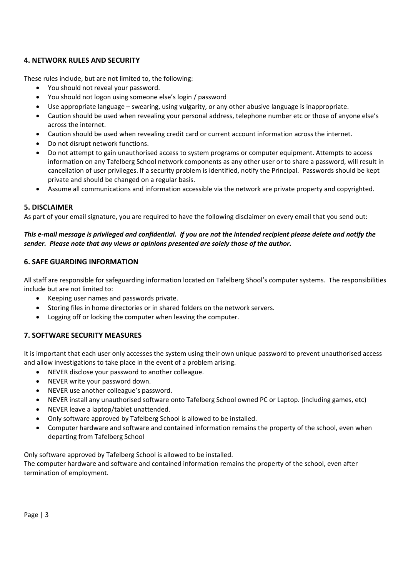### **4. NETWORK RULES AND SECURITY**

These rules include, but are not limited to, the following:

- You should not reveal your password.
- You should not logon using someone else's login / password
- Use appropriate language swearing, using vulgarity, or any other abusive language is inappropriate.
- Caution should be used when revealing your personal address, telephone number etc or those of anyone else's across the internet.
- Caution should be used when revealing credit card or current account information across the internet.
- Do not disrupt network functions.
- Do not attempt to gain unauthorised access to system programs or computer equipment. Attempts to access information on any Tafelberg School network components as any other user or to share a password, will result in cancellation of user privileges. If a security problem is identified, notify the Principal. Passwords should be kept private and should be changed on a regular basis.
- Assume all communications and information accessible via the network are private property and copyrighted.

#### **5. DISCLAIMER**

As part of your email signature, you are required to have the following disclaimer on every email that you send out:

#### *This e‐mail message is privileged and confidential. If you are not the intended recipient please delete and notify the sender. Please note that any views or opinions presented are solely those of the author.*

#### **6. SAFE GUARDING INFORMATION**

All staff are responsible for safeguarding information located on Tafelberg Shool's computer systems. The responsibilities include but are not limited to:

- Keeping user names and passwords private.
- Storing files in home directories or in shared folders on the network servers.
- Logging off or locking the computer when leaving the computer.

#### **7. SOFTWARE SECURITY MEASURES**

It is important that each user only accesses the system using their own unique password to prevent unauthorised access and allow investigations to take place in the event of a problem arising.

- NEVER disclose your password to another colleague.
- NEVER write your password down.
- NEVER use another colleague's password.
- NEVER install any unauthorised software onto Tafelberg School owned PC or Laptop. (including games, etc)
- NEVER leave a laptop/tablet unattended.
- Only software approved by Tafelberg School is allowed to be installed.
- Computer hardware and software and contained information remains the property of the school, even when departing from Tafelberg School

Only software approved by Tafelberg School is allowed to be installed.

The computer hardware and software and contained information remains the property of the school, even after termination of employment.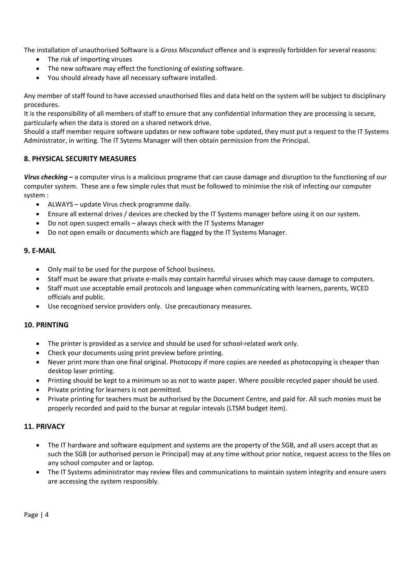The installation of unauthorised Software is a *Gross Misconduct* offence and is expressly forbidden for several reasons:

- The risk of importing viruses
- The new software may effect the functioning of existing software.
- You should already have all necessary software installed.

Any member of staff found to have accessed unauthorised files and data held on the system will be subject to disciplinary procedures.

It is the responsibility of all members of staff to ensure that any confidential information they are processing is secure, particularly when the data is stored on a shared network drive.

Should a staff member require software updates or new software tobe updated, they must put a request to the IT Systems Administrator, in writing. The IT Sytems Manager will then obtain permission from the Principal.

#### **8. PHYSICAL SECURITY MEASURES**

*Virus checking* **–** a computer virus is a malicious programe that can cause damage and disruption to the functioning of our computer system. These are a few simple rules that must be followed to minimise the risk of infecting our computer system :

- ALWAYS update Virus check programme daily.
- Ensure all external drives / devices are checked by the IT Systems manager before using it on our system.
- Do not open suspect emails always check with the IT Systems Manager
- Do not open emails or documents which are flagged by the IT Systems Manager.

# **9. E‐MAIL**

- Only mail to be used for the purpose of School business.
- Staff must be aware that private e‐mails may contain harmful viruses which may cause damage to computers.
- Staff must use acceptable email protocols and language when communicating with learners, parents, WCED officials and public.
- Use recognised service providers only. Use precautionary measures.

#### **10. PRINTING**

- The printer is provided as a service and should be used for school-related work only.
- Check your documents using print preview before printing.
- Never print more than one final original. Photocopy if more copies are needed as photocopying is cheaper than desktop laser printing.
- Printing should be kept to a minimum so as not to waste paper. Where possible recycled paper should be used.
- Private printing for learners is not permitted.
- Private printing for teachers must be authorised by the Document Centre, and paid for. All such monies must be properly recorded and paid to the bursar at regular intevals (LTSM budget item).

#### **11. PRIVACY**

- The IT hardware and software equipment and systems are the property of the SGB, and all users accept that as such the SGB (or authorised person ie Principal) may at any time without prior notice, request access to the files on any school computer and or laptop.
- The IT Systems administrator may review files and communications to maintain system integrity and ensure users are accessing the system responsibly.